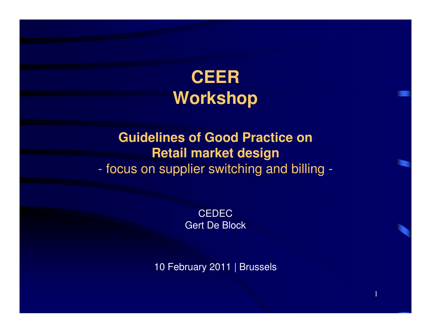# **CEER Workshop**

#### **Guidelines of Good Practice onRetail market design**- toeus on sunnligr switching a focus on supplier switching and billing -

**CEDEC** Gert De Block

10 February 2011 | Brussels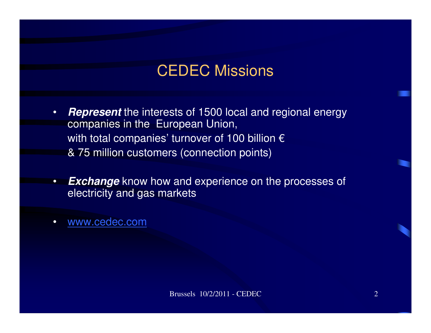#### CEDEC Missions

- • **Represent** the interests of 1500 local and regional energycompanies in the European Union, with total companies' turnover of 100 billion  $\epsilon$ & 75 million customers (connection points)
- •**Exchange** know how and experience on the processes of electricity and gas markets
- $\bullet$ www.cedec.com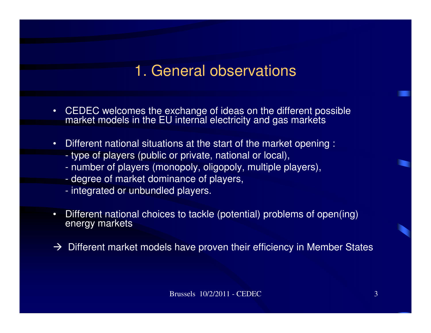#### 1. General observations

- • CEDEC welcomes the exchange of ideas on the different possible market models in the EU internal electricity and gas markets
- • Different national situations at the start of the market opening :
	- type of players (public or private, national or local),
	- number of players (monopoly, oligopoly, multiple players),
	- degree of market dominance of players,
	- integrated or unbundled players.
- • Different national choices to tackle (potential) problems of open(ing) energy markets
- $\rightarrow$  Different market models have proven their efficiency in Member States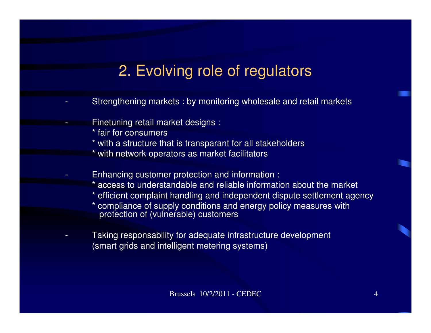# 2. Evolving role of regulators

- - Strengthening markets : by monitoring wholesale and retail markets
	- Finetuning retail market designs :
		- \* fair for consumers

-

-

-

- \* with a structure that is transparant for all stakeholders
- \* with network operators as market facilitators
- Enhancing customer protection and information :
	- access to understandable and reliable information about the market
	- efficient complaint handling and independent dispute settlement agency
	- \* compliance of supply conditions and energy policy measures with protection of (vulnerable) customers
- Taking responsability for adequate infrastructure development (smart grids and intelligent metering systems)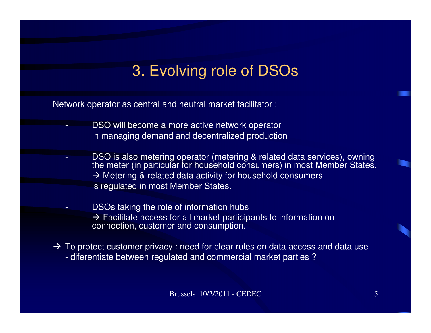## 3. Evolving role of DSOs

Network operator as central and neutral market facilitator :

-

-

- DSO will become a more active network operatorin managing demand and decentralized production
- - DSO is also metering operator (metering & related data services), owning the meter (in particular for household consumers) in most Member States. → Metering & related data activity for household consumers<br>is requiated in most Member States is regulated in most Member States.

 DSOs taking the role of information hubs  $\rightarrow$  Facilitate access for all market participants to information on connection. customer and consumption. connection, customer and consumption.

→ To protect customer privacy : need for clear rules on data access and data use<br>commercial market parties ? - diferentiate between regulated and commercial market parties ?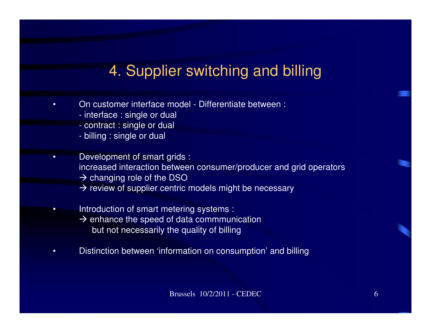## 4. Supplier switching and billing

- • On customer interface model - Differentiate between :
	- interface : single or dual
	- contract : single or dual
	- billing : single or dual
- • Development of smart grids : increased interaction between consumer/producer and grid operators  $\rightarrow$  changing role of the DSO<br> $\rightarrow$  review of supplier centric  $\rightarrow$  review of supplier centric models might be necessary
- • Introduction of smart metering systems : A enhance the speed of data commmunication<br>but not pecassarily the quality of billing but not necessarily the quality of billing
- •Distinction between 'information on consumption' and billing